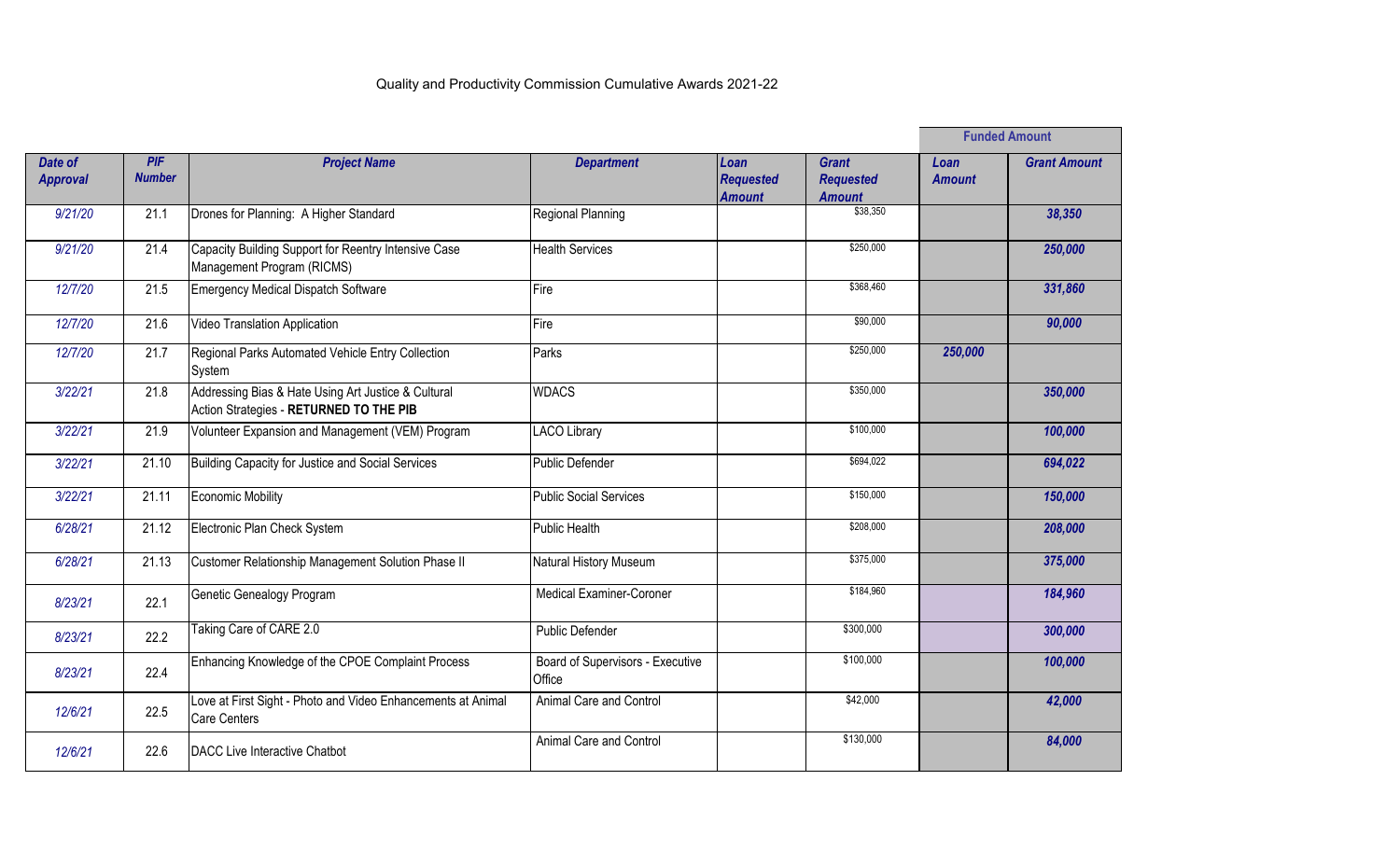|                            |                      |                                                                                                |                                            |                                           |                                                   | <b>Funded Amount</b>  |                     |
|----------------------------|----------------------|------------------------------------------------------------------------------------------------|--------------------------------------------|-------------------------------------------|---------------------------------------------------|-----------------------|---------------------|
| Date of<br><b>Approval</b> | PIF<br><b>Number</b> | <b>Project Name</b>                                                                            | <b>Department</b>                          | Loan<br><b>Requested</b><br><b>Amount</b> | <b>Grant</b><br><b>Requested</b><br><b>Amount</b> | Loan<br><b>Amount</b> | <b>Grant Amount</b> |
| 9/21/20                    | 21.1                 | Drones for Planning: A Higher Standard                                                         | Regional Planning                          |                                           | \$38,350                                          |                       | 38,350              |
| 9/21/20                    | 21.4                 | Capacity Building Support for Reentry Intensive Case<br>Management Program (RICMS)             | <b>Health Services</b>                     |                                           | \$250,000                                         |                       | 250,000             |
| 12/7/20                    | 21.5                 | <b>Emergency Medical Dispatch Software</b>                                                     | Fire                                       |                                           | \$368,460                                         |                       | 331,860             |
| 12/7/20                    | 21.6                 | Video Translation Application                                                                  | Fire                                       |                                           | \$90,000                                          |                       | 90,000              |
| 12/7/20                    | 21.7                 | Regional Parks Automated Vehicle Entry Collection<br>System                                    | Parks                                      |                                           | \$250,000                                         | 250,000               |                     |
| 3/22/21                    | 21.8                 | Addressing Bias & Hate Using Art Justice & Cultural<br>Action Strategies - RETURNED TO THE PIB | <b>WDACS</b>                               |                                           | \$350,000                                         |                       | 350,000             |
| 3/22/21                    | 21.9                 | Volunteer Expansion and Management (VEM) Program                                               | <b>LACO Library</b>                        |                                           | \$100,000                                         |                       | 100,000             |
| 3/22/21                    | 21.10                | Building Capacity for Justice and Social Services                                              | <b>Public Defender</b>                     |                                           | \$694,022                                         |                       | 694,022             |
| 3/22/21                    | 21.11                | <b>Economic Mobility</b>                                                                       | <b>Public Social Services</b>              |                                           | \$150,000                                         |                       | 150,000             |
| 6/28/21                    | 21.12                | Electronic Plan Check System                                                                   | <b>Public Health</b>                       |                                           | \$208,000                                         |                       | 208,000             |
| 6/28/21                    | 21.13                | Customer Relationship Management Solution Phase II                                             | Natural History Museum                     |                                           | \$375,000                                         |                       | 375,000             |
| 8/23/21                    | 22.1                 | Genetic Genealogy Program                                                                      | <b>Medical Examiner-Coroner</b>            |                                           | \$184,960                                         |                       | 184,960             |
| 8/23/21                    | 22.2                 | Taking Care of CARE 2.0                                                                        | Public Defender                            |                                           | \$300,000                                         |                       | 300,000             |
| 8/23/21                    | 22.4                 | Enhancing Knowledge of the CPOE Complaint Process                                              | Board of Supervisors - Executive<br>Office |                                           | \$100,000                                         |                       | 100,000             |
| 12/6/21                    | 22.5                 | Love at First Sight - Photo and Video Enhancements at Animal<br>Care Centers                   | Animal Care and Control                    |                                           | \$42,000                                          |                       | 42,000              |
| 12/6/21                    | 22.6                 | DACC Live Interactive Chatbot                                                                  | Animal Care and Control                    |                                           | \$130,000                                         |                       | 84,000              |